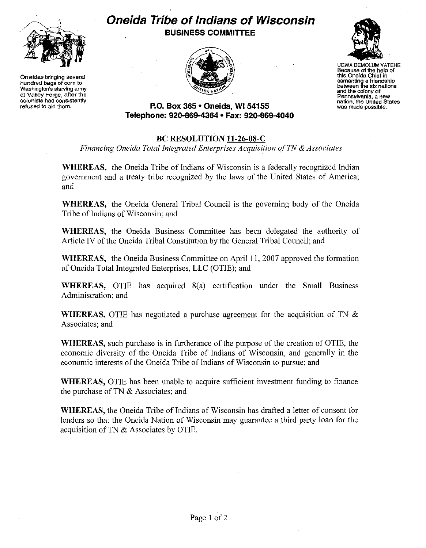

**Oneidas bringing severaf hundred bags of corn to Washington's starving army at Valley Forge, after the colonists had consistently refused to aid them.** 

## **Oneida Tribe of Indians of Wisconsin BUSINESS COMMITTEE**





UGWA DEMOLUM YATEHE<br>
Because of the help of<br>
this Oneida Chief in<br>
cementing a friendship<br>
between the six nations **Because of the help of this Oneida Chief in and the colony of Pennsylvania, a new**  nation, the United States<br>was made possible.

## **P.O. Box 365 • Oneida, Wl54155 Telepnone: 920·869-4364 • Fax: 920-869-4040**

## **BC RESOLUTION 11-26-08-C**

*Financing Oneida Total Integrated Enterprises Acquisition of TN* & *Associates* 

**WHEREAS,** the Oneida Tribe of Indians of Wisconsin is a federally recognized Indian government and a treaty tribe recognized by the laws of the United States of America; and

**WHEREAS,** the Oneida General Tribal Council is the governing body of the Oneida Tribe of Indians of Wisconsin; and

**WHEREAS,** the Oneida Business Committee has been delegated the authority of Article IV of the Oneida Tribal Constitution by the General Tribal Council; and

**WHEREAS,** the Oneida Business Committee on April II, 2007 approved the formation of Oneida Total Integrated Enterprises, LLC (OTIE); and

**WHEREAS,** OTIE has acquired 8(a) certification under the Small Business Administration; and

**WHEREAS,** OTIE has negotiated a purchase agreement for the acquisition of TN & Associates; and

**WHEREAS,** such purchase is in furtherance of the purpose of the creation of OTIE, the economic diversity of the Oneida Tribe of Indians of Wisconsin, and generally in the economic interests of the Oneida Tribe of Indians of Wisconsin to pursue; and

**WHEREAS,** OTIE has been unable to acquire sufficient investment funding to finance the purchase of TN & Associates; and

**WHEREAS,** the Oneida Tribe of Indians of Wisconsin has drafted a letter of consent for lenders so that the Oneida Nation of Wisconsin may guarantee a third party loan for the acquisition of TN & Associates by OTIE.